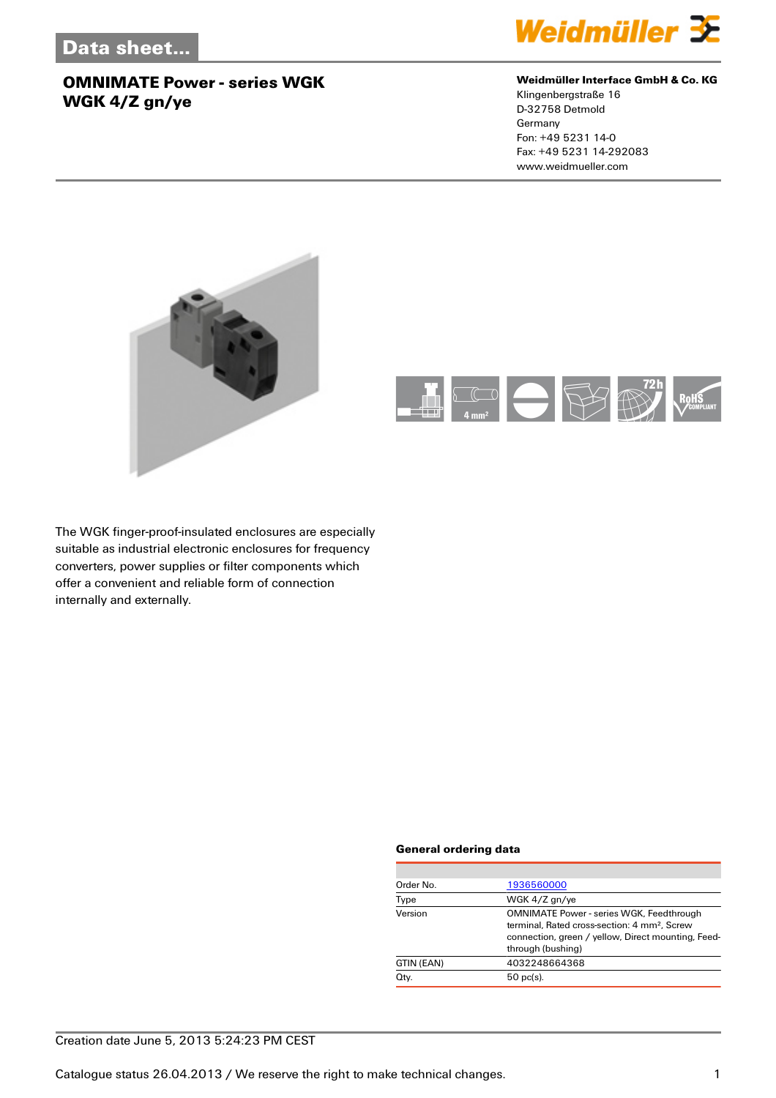

#### **Weidmüller Interface GmbH & Co. KG**

Klingenbergstraße 16 D-32758 Detmold Germany Fon: +49 5231 14-0 Fax: +49 5231 14-292083 www.weidmueller.com





The WGK finger-proof-insulated enclosures are especially suitable as industrial electronic enclosures for frequency converters, power supplies or filter components which offer a convenient and reliable form of connection internally and externally.

#### **General ordering data**

| Order No.  | 1936560000                                                                                                                                                                             |
|------------|----------------------------------------------------------------------------------------------------------------------------------------------------------------------------------------|
| Type       | WGK 4/Z gn/ye                                                                                                                                                                          |
| Version    | <b>OMNIMATE Power - series WGK, Feedthrough</b><br>terminal. Rated cross-section: 4 mm <sup>2</sup> . Screw<br>connection, green / yellow, Direct mounting, Feed-<br>through (bushing) |
| GTIN (EAN) | 4032248664368                                                                                                                                                                          |
| Qty.       | $50$ pc(s).                                                                                                                                                                            |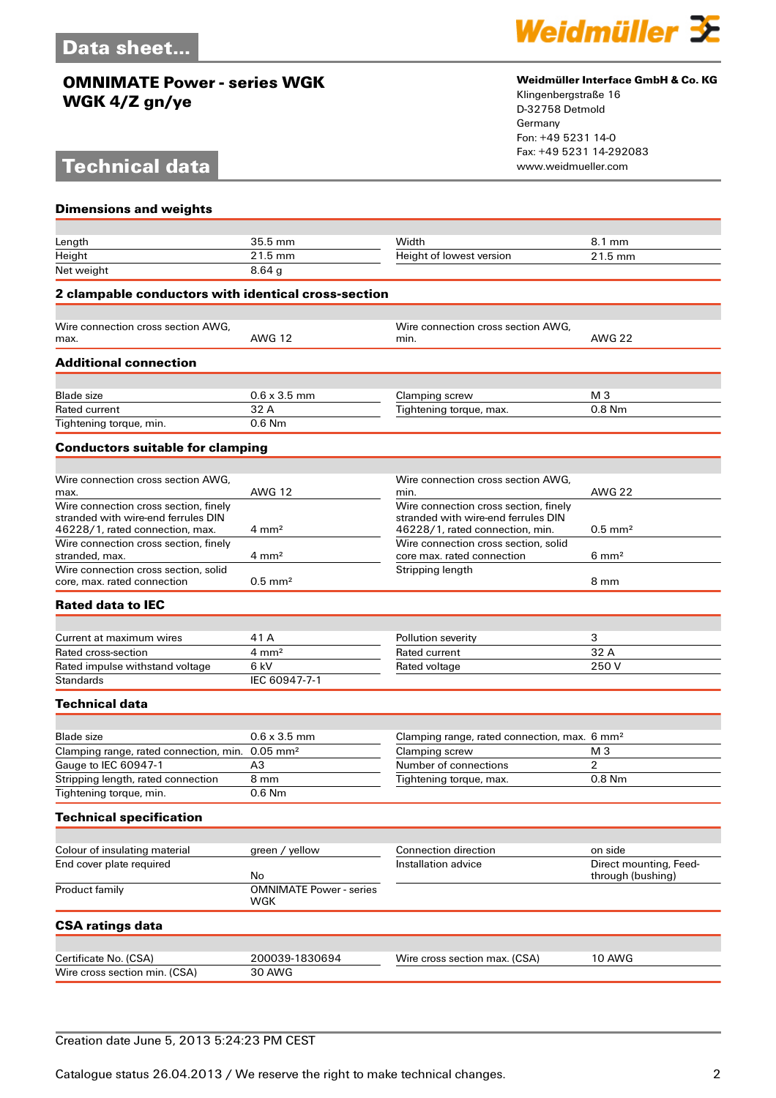# **Technical data**



#### **Weidmüller Interface GmbH & Co. KG**

Klingenbergstraße 16 D-32758 Detmold Germany Fon: +49 5231 14-0 Fax: +49 5231 14-292083

| <b>Dimensions and weights</b>                                                                                   |                                             |                                                                                                                 |                        |
|-----------------------------------------------------------------------------------------------------------------|---------------------------------------------|-----------------------------------------------------------------------------------------------------------------|------------------------|
|                                                                                                                 |                                             |                                                                                                                 |                        |
| Length                                                                                                          | 35.5 mm                                     | Width                                                                                                           | 8.1 mm                 |
| Height                                                                                                          | 21.5 mm                                     | Height of lowest version                                                                                        | 21.5 mm                |
| Net weight                                                                                                      | 8.64 <sub>g</sub>                           |                                                                                                                 |                        |
| 2 clampable conductors with identical cross-section                                                             |                                             |                                                                                                                 |                        |
| Wire connection cross section AWG.                                                                              |                                             | Wire connection cross section AWG,                                                                              |                        |
| max.                                                                                                            | <b>AWG 12</b>                               | min.                                                                                                            | <b>AWG 22</b>          |
| <b>Additional connection</b>                                                                                    |                                             |                                                                                                                 |                        |
| <b>Blade size</b>                                                                                               | $0.6 \times 3.5$ mm                         | Clamping screw                                                                                                  | M <sub>3</sub>         |
| <b>Rated current</b>                                                                                            | 32 A                                        | Tightening torque, max.                                                                                         | 0.8 Nm                 |
| Tightening torque, min.                                                                                         | $0.6$ Nm                                    |                                                                                                                 |                        |
| <b>Conductors suitable for clamping</b>                                                                         |                                             |                                                                                                                 |                        |
|                                                                                                                 |                                             |                                                                                                                 |                        |
| Wire connection cross section AWG.<br>max.                                                                      | <b>AWG 12</b>                               | Wire connection cross section AWG,<br>min.                                                                      | <b>AWG 22</b>          |
| Wire connection cross section, finely<br>stranded with wire-end ferrules DIN<br>46228/1, rated connection, max. | $4 \text{ mm}^2$                            | Wire connection cross section, finely<br>stranded with wire-end ferrules DIN<br>46228/1, rated connection, min. | $0.5$ mm <sup>2</sup>  |
| Wire connection cross section, finely<br>stranded, max.                                                         | $4 \text{ mm}^2$                            | Wire connection cross section, solid<br>core max. rated connection                                              | $6 \text{ mm}^2$       |
| Wire connection cross section, solid<br>core, max, rated connection                                             | $0.5$ mm <sup>2</sup>                       | Stripping length                                                                                                | 8 mm                   |
| <b>Rated data to IEC</b>                                                                                        |                                             |                                                                                                                 |                        |
|                                                                                                                 | 41 A                                        |                                                                                                                 |                        |
| Current at maximum wires<br>Rated cross-section                                                                 | $4 \, \text{mm}^2$                          | Pollution severity<br>Rated current                                                                             | 3<br>32 A              |
| Rated impulse withstand voltage                                                                                 | 6 kV                                        | Rated voltage                                                                                                   | 250V                   |
| <b>Standards</b>                                                                                                | IEC 60947-7-1                               |                                                                                                                 |                        |
| <b>Technical data</b>                                                                                           |                                             |                                                                                                                 |                        |
|                                                                                                                 |                                             |                                                                                                                 |                        |
| <b>Blade size</b>                                                                                               | $0.6 \times 3.5$ mm                         | Clamping range, rated connection, max. 6 mm <sup>2</sup>                                                        |                        |
| Clamping range, rated connection, min. 0.05 mm <sup>2</sup>                                                     |                                             | Clamping screw                                                                                                  | M <sub>3</sub>         |
| Gauge to IEC 60947-1                                                                                            | A3                                          | Number of connections                                                                                           | 2                      |
| Stripping length, rated connection<br>Tightening torque, min.                                                   | 8 mm<br>0.6 Nm                              | Tightening torque, max.                                                                                         | 0.8 Nm                 |
|                                                                                                                 |                                             |                                                                                                                 |                        |
| <b>Technical specification</b>                                                                                  |                                             |                                                                                                                 |                        |
| Colour of insulating material                                                                                   | green / yellow                              | Connection direction                                                                                            | on side                |
| End cover plate required                                                                                        |                                             | Installation advice                                                                                             | Direct mounting, Feed- |
| Product family                                                                                                  | No<br><b>OMNIMATE Power - series</b><br>WGK |                                                                                                                 | through (bushing)      |
| <b>CSA ratings data</b>                                                                                         |                                             |                                                                                                                 |                        |
|                                                                                                                 |                                             |                                                                                                                 |                        |
| Certificate No. (CSA)                                                                                           | 200039-1830694                              | Wire cross section max. (CSA)                                                                                   | <b>10 AWG</b>          |
| Wire cross section min. (CSA)                                                                                   | <b>30 AWG</b>                               |                                                                                                                 |                        |

#### Creation date June 5, 2013 5:24:23 PM CEST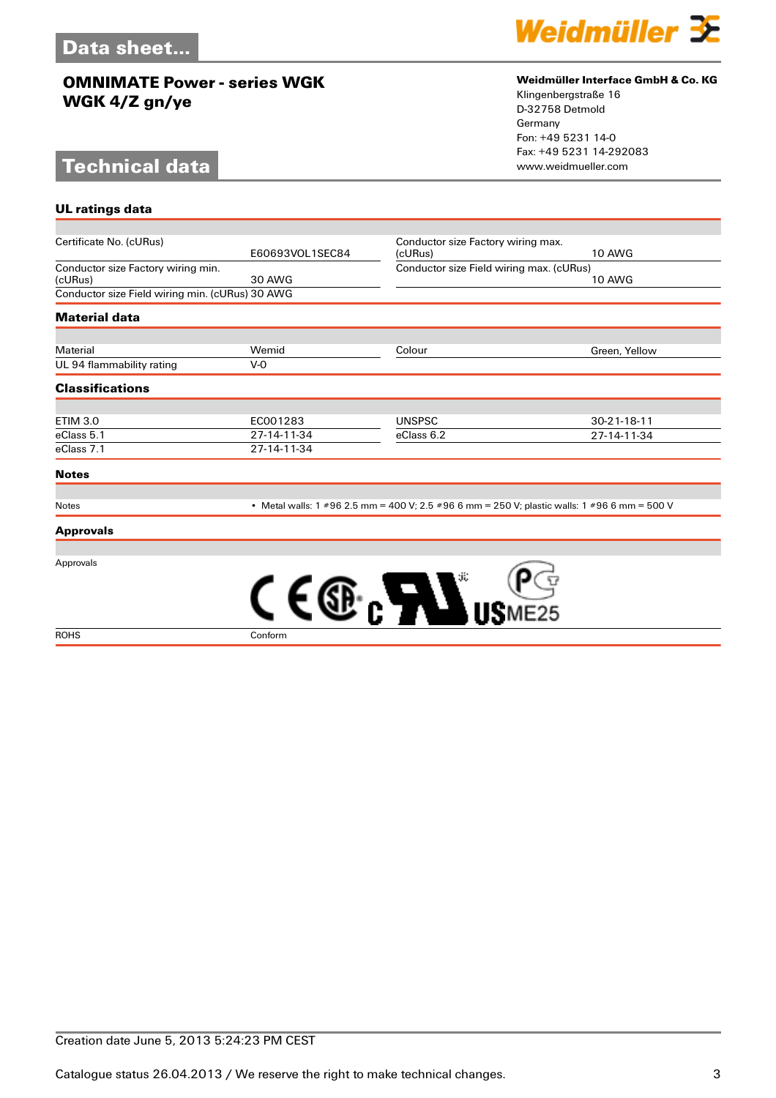# **Technical data**

**UL ratings data**



#### **Weidmüller Interface GmbH & Co. KG**

Klingenbergstraße 16 D-32758 Detmold Germany Fon: +49 5231 14-0 Fax: +49 5231 14-292083

| Certificate No. (cURus)                         |                                                                                              |                                          | Conductor size Factory wiring max. |  |
|-------------------------------------------------|----------------------------------------------------------------------------------------------|------------------------------------------|------------------------------------|--|
|                                                 | E60693VOL1SEC84                                                                              | (cURus)                                  | <b>10 AWG</b>                      |  |
| Conductor size Factory wiring min.              |                                                                                              | Conductor size Field wiring max. (cURus) |                                    |  |
| (cURus)                                         | 30 AWG                                                                                       |                                          | <b>10 AWG</b>                      |  |
| Conductor size Field wiring min. (cURus) 30 AWG |                                                                                              |                                          |                                    |  |
| <b>Material data</b>                            |                                                                                              |                                          |                                    |  |
| Material                                        | Wemid                                                                                        | Colour                                   | Green, Yellow                      |  |
| UL 94 flammability rating                       | V-0                                                                                          |                                          |                                    |  |
| <b>Classifications</b>                          |                                                                                              |                                          |                                    |  |
| <b>ETIM 3.0</b>                                 | EC001283                                                                                     | <b>UNSPSC</b>                            | $30 - 21 - 18 - 11$                |  |
| eClass 5.1                                      | 27-14-11-34                                                                                  | eClass 6.2                               | 27-14-11-34                        |  |
| eClass 7.1                                      | 27-14-11-34                                                                                  |                                          |                                    |  |
| <b>Notes</b>                                    |                                                                                              |                                          |                                    |  |
|                                                 |                                                                                              |                                          |                                    |  |
| <b>Notes</b>                                    | • Metal walls: 1 #96 2.5 mm = 400 V; 2.5 #96 6 mm = 250 V; plastic walls: 1 #96 6 mm = 500 V |                                          |                                    |  |

**Approvals**

Approvals